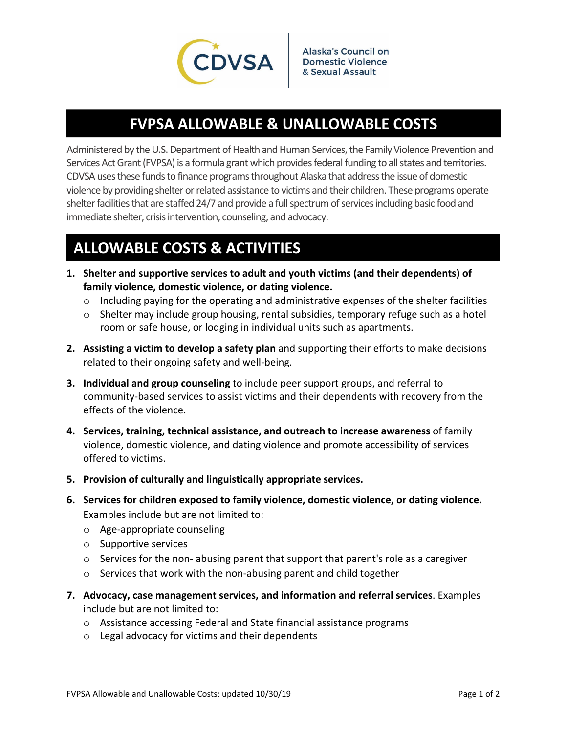

## **FVPSA ALLOWABLE & UNALLOWABLE COSTS**

Administered by the U.S. Department of Health and Human Services, the Family Violence Prevention and Services Act Grant (FVPSA) is a formula grant which provides federal funding to all states and territories. CDVSA usesthese fundsto finance programsthroughout Alaska that addressthe issue of domestic violence by providing shelter orrelated assistance to victims and their children. These programs operate shelter facilities that are staffed 24/7 and provide a full spectrum of services including basic food and immediate shelter, crisis intervention, counseling, and advocacy.

## **ALLOWABLE COSTS & ACTIVITIES**

- **1. Shelter and supportive services to adult and youth victims (and their dependents) of family violence, domestic violence, or dating violence.**
	- $\circ$  Including paying for the operating and administrative expenses of the shelter facilities
	- $\circ$  Shelter may include group housing, rental subsidies, temporary refuge such as a hotel room or safe house, or lodging in individual units such as apartments.
- **2. Assisting a victim to develop a safety plan** and supporting their efforts to make decisions related to their ongoing safety and well‐being.
- **3. Individual and group counseling** to include peer support groups, and referral to community‐based services to assist victims and their dependents with recovery from the effects of the violence.
- **4. Services, training, technical assistance, and outreach to increase awareness** of family violence, domestic violence, and dating violence and promote accessibility of services offered to victims.
- **5. Provision of culturally and linguistically appropriate services.**
- **6. Services for children exposed to family violence, domestic violence, or dating violence.** Examples include but are not limited to:
	- o Age‐appropriate counseling
	- o Supportive services
	- $\circ$  Services for the non-abusing parent that support that parent's role as a caregiver
	- o Services that work with the non‐abusing parent and child together
- **7. Advocacy, case management services, and information and referral services**. Examples include but are not limited to:
	- o Assistance accessing Federal and State financial assistance programs
	- o Legal advocacy for victims and their dependents